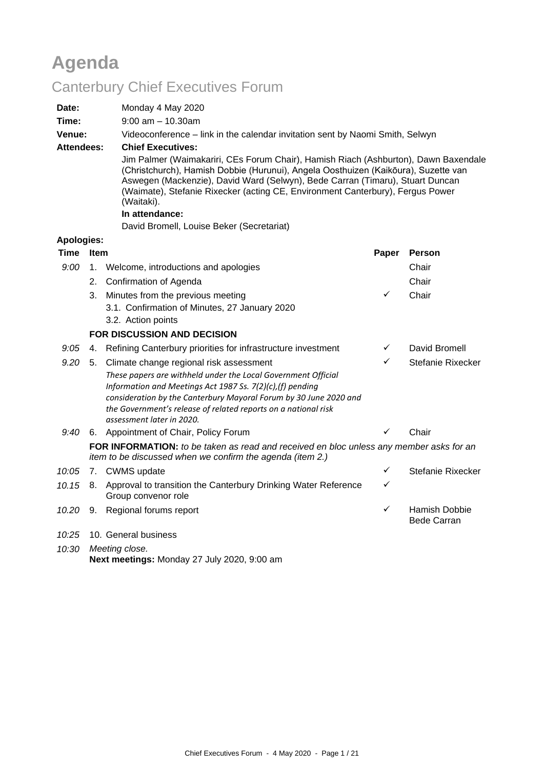# **Agenda**

# Canterbury Chief Executives Forum

| Date:             |      | Monday 4 May 2020                                                                                                                                                                                                                                                                                                                                          |                       |                                     |  |  |  |
|-------------------|------|------------------------------------------------------------------------------------------------------------------------------------------------------------------------------------------------------------------------------------------------------------------------------------------------------------------------------------------------------------|-----------------------|-------------------------------------|--|--|--|
| Time:             |      |                                                                                                                                                                                                                                                                                                                                                            | $9:00$ am $-10.30$ am |                                     |  |  |  |
| Venue:            |      | Videoconference - link in the calendar invitation sent by Naomi Smith, Selwyn                                                                                                                                                                                                                                                                              |                       |                                     |  |  |  |
| <b>Attendees:</b> |      | <b>Chief Executives:</b>                                                                                                                                                                                                                                                                                                                                   |                       |                                     |  |  |  |
|                   |      | Jim Palmer (Waimakariri, CEs Forum Chair), Hamish Riach (Ashburton), Dawn Baxendale<br>(Christchurch), Hamish Dobbie (Hurunui), Angela Oosthuizen (Kaikōura), Suzette van<br>Aswegen (Mackenzie), David Ward (Selwyn), Bede Carran (Timaru), Stuart Duncan<br>(Waimate), Stefanie Rixecker (acting CE, Environment Canterbury), Fergus Power<br>(Waitaki). |                       |                                     |  |  |  |
|                   |      | In attendance:                                                                                                                                                                                                                                                                                                                                             |                       |                                     |  |  |  |
|                   |      | David Bromell, Louise Beker (Secretariat)                                                                                                                                                                                                                                                                                                                  |                       |                                     |  |  |  |
| <b>Apologies:</b> |      |                                                                                                                                                                                                                                                                                                                                                            |                       |                                     |  |  |  |
| <b>Time</b>       | Item |                                                                                                                                                                                                                                                                                                                                                            | Paper                 | <b>Person</b>                       |  |  |  |
| 9:00              | 1.   | Welcome, introductions and apologies                                                                                                                                                                                                                                                                                                                       |                       | Chair                               |  |  |  |
|                   | 2.   | Confirmation of Agenda                                                                                                                                                                                                                                                                                                                                     |                       | Chair                               |  |  |  |
|                   | 3.   | Minutes from the previous meeting                                                                                                                                                                                                                                                                                                                          | $\checkmark$          | Chair                               |  |  |  |
|                   |      | 3.1. Confirmation of Minutes, 27 January 2020                                                                                                                                                                                                                                                                                                              |                       |                                     |  |  |  |
|                   |      | 3.2. Action points                                                                                                                                                                                                                                                                                                                                         |                       |                                     |  |  |  |
|                   |      | <b>FOR DISCUSSION AND DECISION</b>                                                                                                                                                                                                                                                                                                                         |                       |                                     |  |  |  |
| 9:05              |      | 4. Refining Canterbury priorities for infrastructure investment                                                                                                                                                                                                                                                                                            | $\checkmark$          | David Bromell                       |  |  |  |
| 9.20              |      | 5. Climate change regional risk assessment                                                                                                                                                                                                                                                                                                                 | ✓                     | Stefanie Rixecker                   |  |  |  |
|                   |      | These papers are withheld under the Local Government Official<br>Information and Meetings Act 1987 Ss. 7(2)(c),(f) pending<br>consideration by the Canterbury Mayoral Forum by 30 June 2020 and<br>the Government's release of related reports on a national risk<br>assessment later in 2020.                                                             |                       |                                     |  |  |  |
| 9:40              |      | 6. Appointment of Chair, Policy Forum                                                                                                                                                                                                                                                                                                                      | ✓                     | Chair                               |  |  |  |
|                   |      | FOR INFORMATION: to be taken as read and received en bloc unless any member asks for an<br>item to be discussed when we confirm the agenda (item 2.)                                                                                                                                                                                                       |                       |                                     |  |  |  |
| 10:05             |      | 7. CWMS update                                                                                                                                                                                                                                                                                                                                             | ✓                     | Stefanie Rixecker                   |  |  |  |
| 10.15             |      | 8. Approval to transition the Canterbury Drinking Water Reference<br>Group convenor role                                                                                                                                                                                                                                                                   | $\checkmark$          |                                     |  |  |  |
| 10.20             |      | 9. Regional forums report                                                                                                                                                                                                                                                                                                                                  | ✓                     | Hamish Dobbie<br><b>Bede Carran</b> |  |  |  |
|                   |      | 10:25 10. General business                                                                                                                                                                                                                                                                                                                                 |                       |                                     |  |  |  |
|                   |      | $\mathbf{A}$ and $\mathbf{A}$ and $\mathbf{A}$ and $\mathbf{A}$                                                                                                                                                                                                                                                                                            |                       |                                     |  |  |  |

*10:30 Meeting close.* **Next meetings:** Monday 27 July 2020, 9:00 am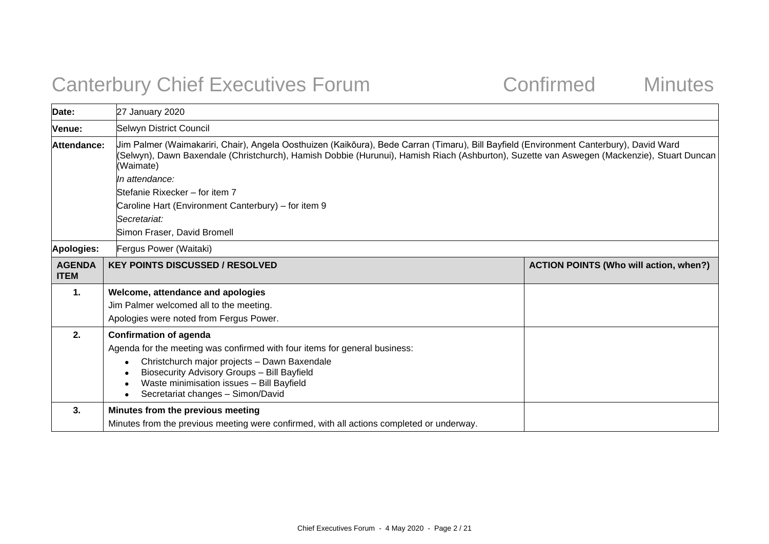# Canterbury Chief Executives Forum Confirmed Minutes

| Date:                        | 27 January 2020                                                                                                                                                                                                                                                                                    |                                               |  |  |  |
|------------------------------|----------------------------------------------------------------------------------------------------------------------------------------------------------------------------------------------------------------------------------------------------------------------------------------------------|-----------------------------------------------|--|--|--|
| <b>Venue:</b>                | Selwyn District Council                                                                                                                                                                                                                                                                            |                                               |  |  |  |
| Attendance:                  | Jim Palmer (Waimakariri, Chair), Angela Oosthuizen (Kaikōura), Bede Carran (Timaru), Bill Bayfield (Environment Canterbury), David Ward<br>(Selwyn), Dawn Baxendale (Christchurch), Hamish Dobbie (Hurunui), Hamish Riach (Ashburton), Suzette van Aswegen (Mackenzie), Stuart Duncan<br>(Waimate) |                                               |  |  |  |
|                              | In attendance:                                                                                                                                                                                                                                                                                     |                                               |  |  |  |
|                              | Stefanie Rixecker – for item 7                                                                                                                                                                                                                                                                     |                                               |  |  |  |
|                              | Caroline Hart (Environment Canterbury) – for item 9                                                                                                                                                                                                                                                |                                               |  |  |  |
|                              | <i><b>Secretariat:</b></i>                                                                                                                                                                                                                                                                         |                                               |  |  |  |
|                              | Simon Fraser, David Bromell                                                                                                                                                                                                                                                                        |                                               |  |  |  |
| Apologies:                   | Fergus Power (Waitaki)                                                                                                                                                                                                                                                                             |                                               |  |  |  |
| <b>AGENDA</b><br><b>ITEM</b> | <b>KEY POINTS DISCUSSED / RESOLVED</b>                                                                                                                                                                                                                                                             | <b>ACTION POINTS (Who will action, when?)</b> |  |  |  |
| 1.                           | Welcome, attendance and apologies                                                                                                                                                                                                                                                                  |                                               |  |  |  |
|                              | Jim Palmer welcomed all to the meeting.                                                                                                                                                                                                                                                            |                                               |  |  |  |
|                              | Apologies were noted from Fergus Power.                                                                                                                                                                                                                                                            |                                               |  |  |  |
| 2.                           | <b>Confirmation of agenda</b>                                                                                                                                                                                                                                                                      |                                               |  |  |  |
|                              | Agenda for the meeting was confirmed with four items for general business:                                                                                                                                                                                                                         |                                               |  |  |  |
|                              | Christchurch major projects - Dawn Baxendale<br>Biosecurity Advisory Groups - Bill Bayfield<br>Waste minimisation issues - Bill Bayfield<br>Secretariat changes - Simon/David                                                                                                                      |                                               |  |  |  |
| 3.                           | Minutes from the previous meeting                                                                                                                                                                                                                                                                  |                                               |  |  |  |
|                              | Minutes from the previous meeting were confirmed, with all actions completed or underway.                                                                                                                                                                                                          |                                               |  |  |  |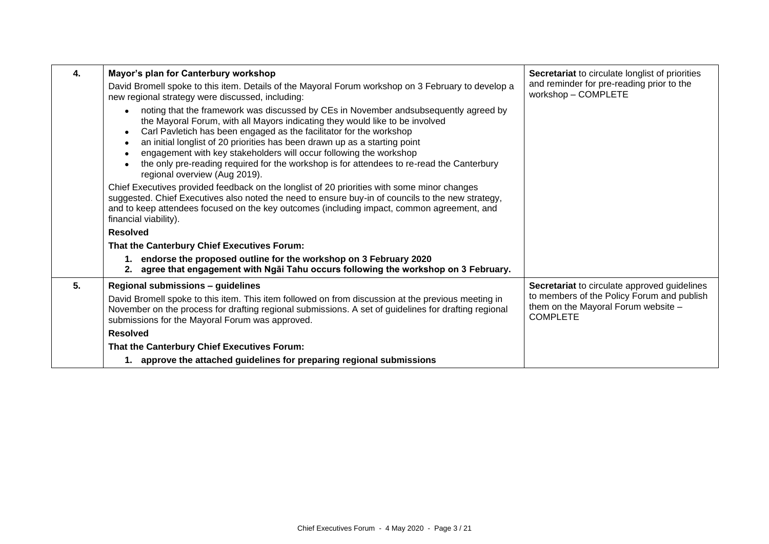| 4. | Mayor's plan for Canterbury workshop                                                                                                                                                                                                                                                                                                                                                                                                                                                                                           | Secretariat to circulate longlist of priorities                                                      |
|----|--------------------------------------------------------------------------------------------------------------------------------------------------------------------------------------------------------------------------------------------------------------------------------------------------------------------------------------------------------------------------------------------------------------------------------------------------------------------------------------------------------------------------------|------------------------------------------------------------------------------------------------------|
|    | David Bromell spoke to this item. Details of the Mayoral Forum workshop on 3 February to develop a<br>new regional strategy were discussed, including:                                                                                                                                                                                                                                                                                                                                                                         | and reminder for pre-reading prior to the<br>workshop - COMPLETE                                     |
|    | noting that the framework was discussed by CEs in November and subsequently agreed by<br>the Mayoral Forum, with all Mayors indicating they would like to be involved<br>Carl Pavletich has been engaged as the facilitator for the workshop<br>an initial longlist of 20 priorities has been drawn up as a starting point<br>engagement with key stakeholders will occur following the workshop<br>the only pre-reading required for the workshop is for attendees to re-read the Canterbury<br>regional overview (Aug 2019). |                                                                                                      |
|    | Chief Executives provided feedback on the longlist of 20 priorities with some minor changes<br>suggested. Chief Executives also noted the need to ensure buy-in of councils to the new strategy,<br>and to keep attendees focused on the key outcomes (including impact, common agreement, and<br>financial viability).                                                                                                                                                                                                        |                                                                                                      |
|    | <b>Resolved</b>                                                                                                                                                                                                                                                                                                                                                                                                                                                                                                                |                                                                                                      |
|    | That the Canterbury Chief Executives Forum:                                                                                                                                                                                                                                                                                                                                                                                                                                                                                    |                                                                                                      |
|    | endorse the proposed outline for the workshop on 3 February 2020<br>agree that engagement with Ngai Tahu occurs following the workshop on 3 February.                                                                                                                                                                                                                                                                                                                                                                          |                                                                                                      |
| 5. | Regional submissions - guidelines                                                                                                                                                                                                                                                                                                                                                                                                                                                                                              | Secretariat to circulate approved guidelines                                                         |
|    | David Bromell spoke to this item. This item followed on from discussion at the previous meeting in<br>November on the process for drafting regional submissions. A set of guidelines for drafting regional<br>submissions for the Mayoral Forum was approved.                                                                                                                                                                                                                                                                  | to members of the Policy Forum and publish<br>them on the Mayoral Forum website -<br><b>COMPLETE</b> |
|    | <b>Resolved</b>                                                                                                                                                                                                                                                                                                                                                                                                                                                                                                                |                                                                                                      |
|    | That the Canterbury Chief Executives Forum:                                                                                                                                                                                                                                                                                                                                                                                                                                                                                    |                                                                                                      |
|    | 1. approve the attached guidelines for preparing regional submissions                                                                                                                                                                                                                                                                                                                                                                                                                                                          |                                                                                                      |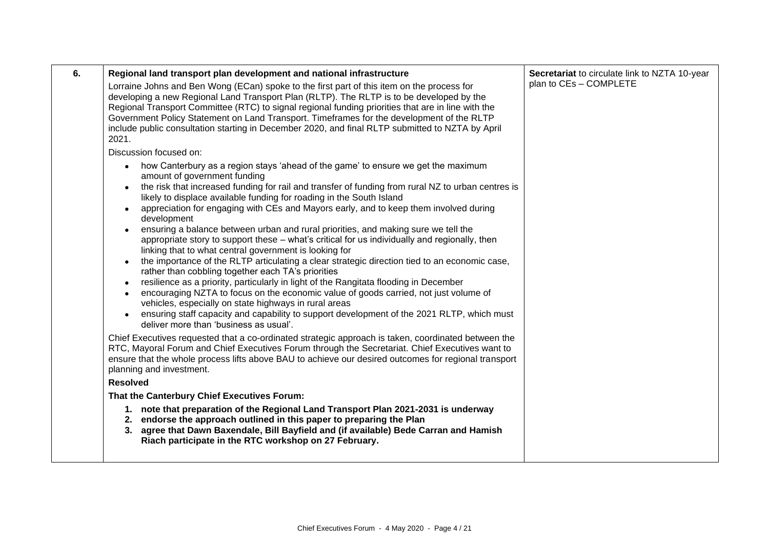| 6. | Regional land transport plan development and national infrastructure<br>Lorraine Johns and Ben Wong (ECan) spoke to the first part of this item on the process for<br>developing a new Regional Land Transport Plan (RLTP). The RLTP is to be developed by the<br>Regional Transport Committee (RTC) to signal regional funding priorities that are in line with the<br>Government Policy Statement on Land Transport. Timeframes for the development of the RLTP<br>include public consultation starting in December 2020, and final RLTP submitted to NZTA by April<br>2021.                                                                                                                                                                                                                                                                                                                                                                                                                                                                                                                                                                                                                    | Secretariat to circulate link to NZTA 10-year<br>plan to CEs - COMPLETE |
|----|---------------------------------------------------------------------------------------------------------------------------------------------------------------------------------------------------------------------------------------------------------------------------------------------------------------------------------------------------------------------------------------------------------------------------------------------------------------------------------------------------------------------------------------------------------------------------------------------------------------------------------------------------------------------------------------------------------------------------------------------------------------------------------------------------------------------------------------------------------------------------------------------------------------------------------------------------------------------------------------------------------------------------------------------------------------------------------------------------------------------------------------------------------------------------------------------------|-------------------------------------------------------------------------|
|    | Discussion focused on:                                                                                                                                                                                                                                                                                                                                                                                                                                                                                                                                                                                                                                                                                                                                                                                                                                                                                                                                                                                                                                                                                                                                                                            |                                                                         |
|    | how Canterbury as a region stays 'ahead of the game' to ensure we get the maximum<br>amount of government funding<br>the risk that increased funding for rail and transfer of funding from rural NZ to urban centres is<br>likely to displace available funding for roading in the South Island<br>appreciation for engaging with CEs and Mayors early, and to keep them involved during<br>development<br>ensuring a balance between urban and rural priorities, and making sure we tell the<br>appropriate story to support these - what's critical for us individually and regionally, then<br>linking that to what central government is looking for<br>the importance of the RLTP articulating a clear strategic direction tied to an economic case,<br>rather than cobbling together each TA's priorities<br>resilience as a priority, particularly in light of the Rangitata flooding in December<br>encouraging NZTA to focus on the economic value of goods carried, not just volume of<br>vehicles, especially on state highways in rural areas<br>ensuring staff capacity and capability to support development of the 2021 RLTP, which must<br>deliver more than 'business as usual'. |                                                                         |
|    | Chief Executives requested that a co-ordinated strategic approach is taken, coordinated between the<br>RTC, Mayoral Forum and Chief Executives Forum through the Secretariat. Chief Executives want to<br>ensure that the whole process lifts above BAU to achieve our desired outcomes for regional transport<br>planning and investment.<br><b>Resolved</b>                                                                                                                                                                                                                                                                                                                                                                                                                                                                                                                                                                                                                                                                                                                                                                                                                                     |                                                                         |
|    | That the Canterbury Chief Executives Forum:                                                                                                                                                                                                                                                                                                                                                                                                                                                                                                                                                                                                                                                                                                                                                                                                                                                                                                                                                                                                                                                                                                                                                       |                                                                         |
|    | 1. note that preparation of the Regional Land Transport Plan 2021-2031 is underway<br>2. endorse the approach outlined in this paper to preparing the Plan<br>agree that Dawn Baxendale, Bill Bayfield and (if available) Bede Carran and Hamish<br>3.<br>Riach participate in the RTC workshop on 27 February.                                                                                                                                                                                                                                                                                                                                                                                                                                                                                                                                                                                                                                                                                                                                                                                                                                                                                   |                                                                         |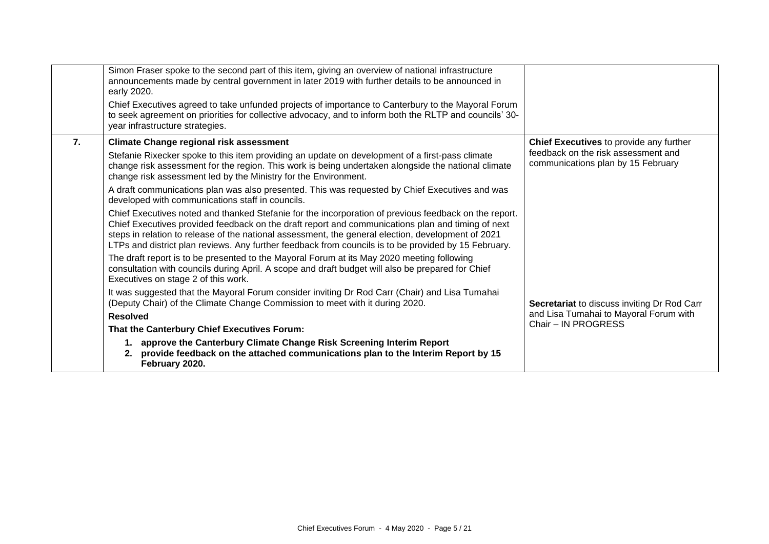|    | Simon Fraser spoke to the second part of this item, giving an overview of national infrastructure<br>announcements made by central government in later 2019 with further details to be announced in<br>early 2020.                                                                                                                                                                                                       |                                                                           |
|----|--------------------------------------------------------------------------------------------------------------------------------------------------------------------------------------------------------------------------------------------------------------------------------------------------------------------------------------------------------------------------------------------------------------------------|---------------------------------------------------------------------------|
|    | Chief Executives agreed to take unfunded projects of importance to Canterbury to the Mayoral Forum<br>to seek agreement on priorities for collective advocacy, and to inform both the RLTP and councils' 30-<br>year infrastructure strategies.                                                                                                                                                                          |                                                                           |
| 7. | <b>Climate Change regional risk assessment</b>                                                                                                                                                                                                                                                                                                                                                                           | Chief Executives to provide any further                                   |
|    | Stefanie Rixecker spoke to this item providing an update on development of a first-pass climate<br>change risk assessment for the region. This work is being undertaken alongside the national climate<br>change risk assessment led by the Ministry for the Environment.                                                                                                                                                | feedback on the risk assessment and<br>communications plan by 15 February |
|    | A draft communications plan was also presented. This was requested by Chief Executives and was<br>developed with communications staff in councils.                                                                                                                                                                                                                                                                       |                                                                           |
|    | Chief Executives noted and thanked Stefanie for the incorporation of previous feedback on the report.<br>Chief Executives provided feedback on the draft report and communications plan and timing of next<br>steps in relation to release of the national assessment, the general election, development of 2021<br>LTPs and district plan reviews. Any further feedback from councils is to be provided by 15 February. |                                                                           |
|    | The draft report is to be presented to the Mayoral Forum at its May 2020 meeting following<br>consultation with councils during April. A scope and draft budget will also be prepared for Chief<br>Executives on stage 2 of this work.                                                                                                                                                                                   |                                                                           |
|    | It was suggested that the Mayoral Forum consider inviting Dr Rod Carr (Chair) and Lisa Tumahai<br>(Deputy Chair) of the Climate Change Commission to meet with it during 2020.                                                                                                                                                                                                                                           | Secretariat to discuss inviting Dr Rod Carr                               |
|    | <b>Resolved</b>                                                                                                                                                                                                                                                                                                                                                                                                          | and Lisa Tumahai to Mayoral Forum with                                    |
|    | That the Canterbury Chief Executives Forum:                                                                                                                                                                                                                                                                                                                                                                              | Chair - IN PROGRESS                                                       |
|    | 1. approve the Canterbury Climate Change Risk Screening Interim Report<br>provide feedback on the attached communications plan to the Interim Report by 15<br>2.<br>February 2020.                                                                                                                                                                                                                                       |                                                                           |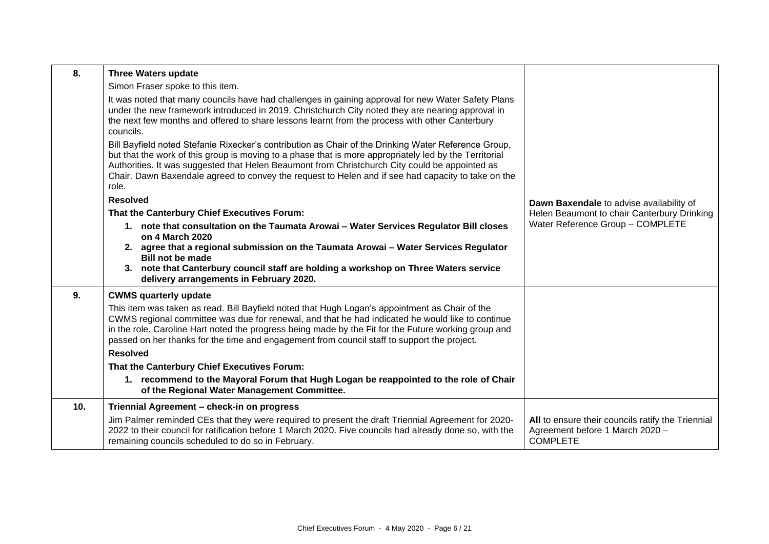| 8.  | <b>Three Waters update</b>                                                                                                                                                                                                                                                                                                                                                                                                      |                                                                                                         |
|-----|---------------------------------------------------------------------------------------------------------------------------------------------------------------------------------------------------------------------------------------------------------------------------------------------------------------------------------------------------------------------------------------------------------------------------------|---------------------------------------------------------------------------------------------------------|
|     | Simon Fraser spoke to this item.                                                                                                                                                                                                                                                                                                                                                                                                |                                                                                                         |
|     | It was noted that many councils have had challenges in gaining approval for new Water Safety Plans<br>under the new framework introduced in 2019. Christchurch City noted they are nearing approval in<br>the next few months and offered to share lessons learnt from the process with other Canterbury<br>councils.                                                                                                           |                                                                                                         |
|     | Bill Bayfield noted Stefanie Rixecker's contribution as Chair of the Drinking Water Reference Group,<br>but that the work of this group is moving to a phase that is more appropriately led by the Territorial<br>Authorities. It was suggested that Helen Beaumont from Christchurch City could be appointed as<br>Chair. Dawn Baxendale agreed to convey the request to Helen and if see had capacity to take on the<br>role. |                                                                                                         |
|     | <b>Resolved</b>                                                                                                                                                                                                                                                                                                                                                                                                                 | Dawn Baxendale to advise availability of                                                                |
|     | That the Canterbury Chief Executives Forum:                                                                                                                                                                                                                                                                                                                                                                                     | Helen Beaumont to chair Canterbury Drinking                                                             |
|     | 1. note that consultation on the Taumata Arowai - Water Services Regulator Bill closes<br>on 4 March 2020                                                                                                                                                                                                                                                                                                                       | Water Reference Group - COMPLETE                                                                        |
|     | 2. agree that a regional submission on the Taumata Arowai - Water Services Regulator<br><b>Bill not be made</b>                                                                                                                                                                                                                                                                                                                 |                                                                                                         |
|     | 3. note that Canterbury council staff are holding a workshop on Three Waters service<br>delivery arrangements in February 2020.                                                                                                                                                                                                                                                                                                 |                                                                                                         |
| 9.  | <b>CWMS quarterly update</b>                                                                                                                                                                                                                                                                                                                                                                                                    |                                                                                                         |
|     | This item was taken as read. Bill Bayfield noted that Hugh Logan's appointment as Chair of the<br>CWMS regional committee was due for renewal, and that he had indicated he would like to continue<br>in the role. Caroline Hart noted the progress being made by the Fit for the Future working group and<br>passed on her thanks for the time and engagement from council staff to support the project.                       |                                                                                                         |
|     | <b>Resolved</b>                                                                                                                                                                                                                                                                                                                                                                                                                 |                                                                                                         |
|     | That the Canterbury Chief Executives Forum:                                                                                                                                                                                                                                                                                                                                                                                     |                                                                                                         |
|     | 1. recommend to the Mayoral Forum that Hugh Logan be reappointed to the role of Chair<br>of the Regional Water Management Committee.                                                                                                                                                                                                                                                                                            |                                                                                                         |
| 10. | Triennial Agreement - check-in on progress                                                                                                                                                                                                                                                                                                                                                                                      |                                                                                                         |
|     | Jim Palmer reminded CEs that they were required to present the draft Triennial Agreement for 2020-<br>2022 to their council for ratification before 1 March 2020. Five councils had already done so, with the<br>remaining councils scheduled to do so in February.                                                                                                                                                             | All to ensure their councils ratify the Triennial<br>Agreement before 1 March 2020 -<br><b>COMPLETE</b> |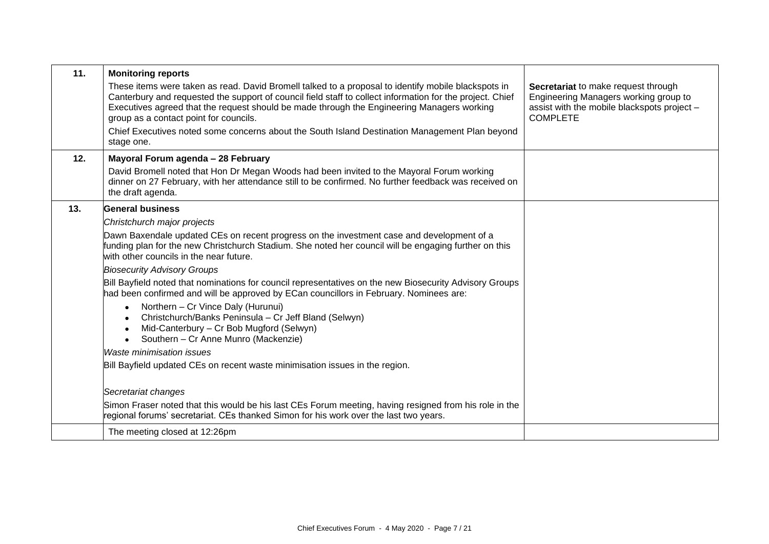| 11. | <b>Monitoring reports</b>                                                                                                                                                                                                                                                                                                                                |                                                                                                                                                |
|-----|----------------------------------------------------------------------------------------------------------------------------------------------------------------------------------------------------------------------------------------------------------------------------------------------------------------------------------------------------------|------------------------------------------------------------------------------------------------------------------------------------------------|
|     | These items were taken as read. David Bromell talked to a proposal to identify mobile blackspots in<br>Canterbury and requested the support of council field staff to collect information for the project. Chief<br>Executives agreed that the request should be made through the Engineering Managers working<br>group as a contact point for councils. | Secretariat to make request through<br>Engineering Managers working group to<br>assist with the mobile blackspots project -<br><b>COMPLETE</b> |
|     | Chief Executives noted some concerns about the South Island Destination Management Plan beyond<br>stage one.                                                                                                                                                                                                                                             |                                                                                                                                                |
| 12. | Mayoral Forum agenda - 28 February                                                                                                                                                                                                                                                                                                                       |                                                                                                                                                |
|     | David Bromell noted that Hon Dr Megan Woods had been invited to the Mayoral Forum working<br>dinner on 27 February, with her attendance still to be confirmed. No further feedback was received on<br>the draft agenda.                                                                                                                                  |                                                                                                                                                |
| 13. | <b>General business</b>                                                                                                                                                                                                                                                                                                                                  |                                                                                                                                                |
|     | Christchurch major projects                                                                                                                                                                                                                                                                                                                              |                                                                                                                                                |
|     | Dawn Baxendale updated CEs on recent progress on the investment case and development of a<br>funding plan for the new Christchurch Stadium. She noted her council will be engaging further on this<br>with other councils in the near future.                                                                                                            |                                                                                                                                                |
|     | <b>Biosecurity Advisory Groups</b>                                                                                                                                                                                                                                                                                                                       |                                                                                                                                                |
|     | Bill Bayfield noted that nominations for council representatives on the new Biosecurity Advisory Groups<br>had been confirmed and will be approved by ECan councillors in February. Nominees are:                                                                                                                                                        |                                                                                                                                                |
|     | Northern - Cr Vince Daly (Hurunui)<br>Christchurch/Banks Peninsula - Cr Jeff Bland (Selwyn)<br>Mid-Canterbury - Cr Bob Mugford (Selwyn)<br>$\bullet$<br>Southern - Cr Anne Munro (Mackenzie)<br>$\bullet$                                                                                                                                                |                                                                                                                                                |
|     | <i>Waste minimisation issues</i>                                                                                                                                                                                                                                                                                                                         |                                                                                                                                                |
|     | Bill Bayfield updated CEs on recent waste minimisation issues in the region.                                                                                                                                                                                                                                                                             |                                                                                                                                                |
|     |                                                                                                                                                                                                                                                                                                                                                          |                                                                                                                                                |
|     | Secretariat changes                                                                                                                                                                                                                                                                                                                                      |                                                                                                                                                |
|     | Simon Fraser noted that this would be his last CEs Forum meeting, having resigned from his role in the<br>regional forums' secretariat. CEs thanked Simon for his work over the last two years.                                                                                                                                                          |                                                                                                                                                |
|     | The meeting closed at 12:26pm                                                                                                                                                                                                                                                                                                                            |                                                                                                                                                |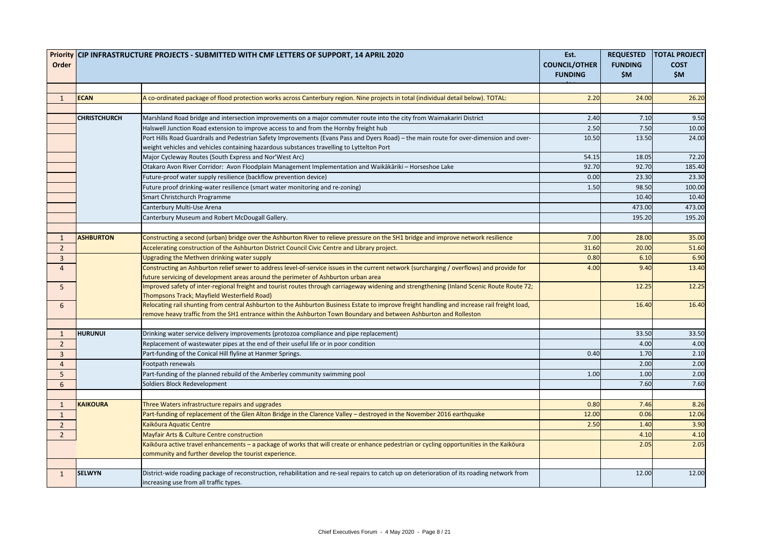|                            |                     | Priority CIP INFRASTRUCTURE PROJECTS - SUBMITTED WITH CMF LETTERS OF SUPPORT, 14 APRIL 2020                                                  | Est.                 | <b>REQUESTED</b> | <b>TOTAL PROJECT</b> |
|----------------------------|---------------------|----------------------------------------------------------------------------------------------------------------------------------------------|----------------------|------------------|----------------------|
| Order                      |                     |                                                                                                                                              | <b>COUNCIL/OTHER</b> | <b>FUNDING</b>   | <b>COST</b>          |
|                            |                     |                                                                                                                                              | <b>FUNDING</b>       | \$M              | \$M\$                |
| 1                          | ECAN                | A co-ordinated package of flood protection works across Canterbury region. Nine projects in total (individual detail below). TOTAL:          | 2.20                 | 24.00            | 26.20                |
|                            |                     |                                                                                                                                              |                      |                  |                      |
|                            | <b>CHRISTCHURCH</b> | Marshland Road bridge and intersection improvements on a major commuter route into the city from Waimakariri District                        | 2.40                 | 7.10             | 9.50                 |
|                            |                     | Halswell Junction Road extension to improve access to and from the Hornby freight hub                                                        | 2.50                 | 7.50             | 10.00                |
|                            |                     | Port Hills Road Guardrails and Pedestrian Safety Improvements (Evans Pass and Dyers Road) - the main route for over-dimension and over-      | 10.50                | 13.50            | 24.00                |
|                            |                     | weight vehicles and vehicles containing hazardous substances travelling to Lyttelton Port                                                    |                      |                  |                      |
|                            |                     | Major Cycleway Routes (South Express and Nor'West Arc)                                                                                       | 54.15                | 18.05            | 72.20                |
|                            |                     | Otakaro Avon River Corridor: Avon Floodplain Management Implementation and Waikākāriki - Horseshoe Lake                                      | 92.70                | 92.70            | 185.40               |
|                            |                     | Future-proof water supply resilience (backflow prevention device)                                                                            | 0.00                 | 23.30            | 23.30                |
|                            |                     | Future proof drinking-water resilience (smart water monitoring and re-zoning)                                                                | 1.50                 | 98.50            | 100.00               |
|                            |                     | Smart Christchurch Programme                                                                                                                 |                      | 10.40            | 10.40                |
|                            |                     | Canterbury Multi-Use Arena                                                                                                                   |                      | 473.00           | 473.00               |
|                            |                     | Canterbury Museum and Robert McDougall Gallery.                                                                                              |                      | 195.20           | 195.20               |
|                            |                     |                                                                                                                                              |                      |                  |                      |
| $\mathbf{1}$               | <b>ASHBURTON</b>    | Constructing a second (urban) bridge over the Ashburton River to relieve pressure on the SH1 bridge and improve network resilience           | 7.00                 | 28.00            | 35.00                |
| $\overline{2}$             |                     | Accelerating construction of the Ashburton District Council Civic Centre and Library project.                                                | 31.60                | 20.00            | 51.60                |
| 3                          |                     | Upgrading the Methven drinking water supply                                                                                                  | 0.80                 | 6.10             | 6.90                 |
| $\boldsymbol{\mathcal{A}}$ |                     | Constructing an Ashburton relief sewer to address level-of-service issues in the current network (surcharging / overflows) and provide for   | 4.00                 | 9.40             | 13.40                |
|                            |                     | future servicing of development areas around the perimeter of Ashburton urban area                                                           |                      |                  |                      |
| 5                          |                     | Improved safety of inter-regional freight and tourist routes through carriageway widening and strengthening (Inland Scenic Route Route 72;   |                      | 12.25            | 12.25                |
|                            |                     | Thompsons Track; Mayfield Westerfield Road)                                                                                                  |                      |                  |                      |
| 6                          |                     | Relocating rail shunting from central Ashburton to the Ashburton Business Estate to improve freight handling and increase rail freight load, |                      | 16.40            | 16.40                |
|                            |                     | remove heavy traffic from the SH1 entrance within the Ashburton Town Boundary and between Ashburton and Rolleston                            |                      |                  |                      |
| 1                          | <b>HURUNUI</b>      | Drinking water service delivery improvements (protozoa compliance and pipe replacement)                                                      |                      | 33.50            | 33.50                |
| $\overline{2}$             |                     | Replacement of wastewater pipes at the end of their useful life or in poor condition                                                         |                      | 4.00             | 4.00                 |
| 3                          |                     | Part-funding of the Conical Hill flyline at Hanmer Springs.                                                                                  | 0.40                 | 1.70             | 2.10                 |
| 4                          |                     | Footpath renewals                                                                                                                            |                      | 2.00             | 2.00                 |
| 5 <sup>5</sup>             |                     | Part-funding of the planned rebuild of the Amberley community swimming pool                                                                  | 1.00                 | 1.00             | 2.00                 |
| 6                          |                     | Soldiers Block Redevelopment                                                                                                                 |                      | 7.60             | 7.60                 |
|                            |                     |                                                                                                                                              |                      |                  |                      |
| $\mathbf{1}$               | KAIKOURA            | Three Waters infrastructure repairs and upgrades                                                                                             | 0.80                 | 7.46             | 8.26                 |
| $\mathbf{1}$               |                     | Part-funding of replacement of the Glen Alton Bridge in the Clarence Valley - destroyed in the November 2016 earthquake                      | 12.00                | 0.06             | 12.06                |
| $\overline{2}$             |                     | Kaikōura Aquatic Centre                                                                                                                      | 2.50                 | 1.40             | 3.90                 |
| $2^{\circ}$                |                     | Mayfair Arts & Culture Centre construction                                                                                                   |                      | 4.10             | 4.10                 |
|                            |                     | Kaikoura active travel enhancements - a package of works that will create or enhance pedestrian or cycling opportunities in the Kaikoura     |                      | 2.05             | 2.05                 |
|                            |                     | community and further develop the tourist experience.                                                                                        |                      |                  |                      |
|                            |                     |                                                                                                                                              |                      |                  |                      |
| $\mathbf{1}$               | SELWYN              | District-wide roading package of reconstruction, rehabilitation and re-seal repairs to catch up on deterioration of its roading network from |                      | 12.00            | 12.00                |
|                            |                     | increasing use from all traffic types.                                                                                                       |                      |                  |                      |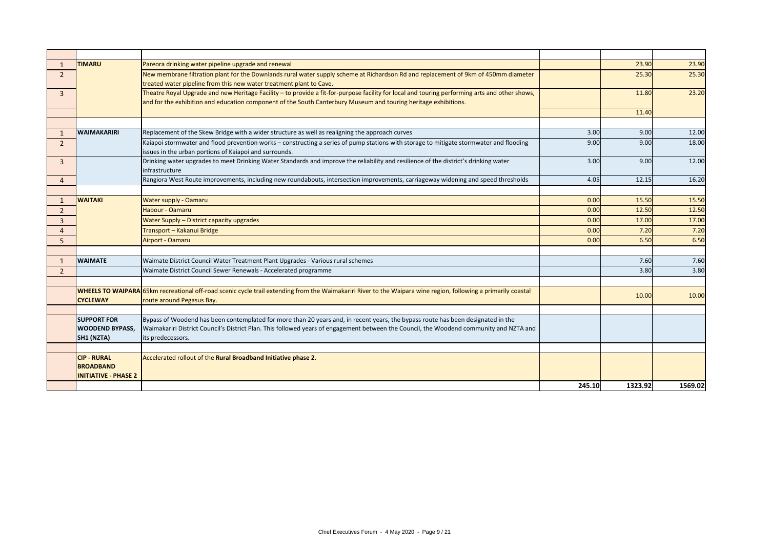|                | <b>TIMARU</b>                                                         | Pareora drinking water pipeline upgrade and renewal                                                                                                                                                                                                               |        | 23.90   | 23.90   |
|----------------|-----------------------------------------------------------------------|-------------------------------------------------------------------------------------------------------------------------------------------------------------------------------------------------------------------------------------------------------------------|--------|---------|---------|
| $\overline{2}$ |                                                                       | New membrane filtration plant for the Downlands rural water supply scheme at Richardson Rd and replacement of 9km of 450mm diameter<br>treated water pipeline from this new water treatment plant to Cave.                                                        |        | 25.30   | 25.30   |
| $\mathbf{3}$   |                                                                       | Theatre Royal Upgrade and new Heritage Facility - to provide a fit-for-purpose facility for local and touring performing arts and other shows,<br>and for the exhibition and education component of the South Canterbury Museum and touring heritage exhibitions. |        | 11.80   | 23.20   |
|                |                                                                       |                                                                                                                                                                                                                                                                   |        | 11.40   |         |
|                |                                                                       |                                                                                                                                                                                                                                                                   |        |         |         |
|                | <b>WAIMAKARIRI</b>                                                    | Replacement of the Skew Bridge with a wider structure as well as realigning the approach curves                                                                                                                                                                   | 3.00   | 9.00    | 12.00   |
| $\overline{2}$ |                                                                       | Kaiapoi stormwater and flood prevention works - constructing a series of pump stations with storage to mitigate stormwater and flooding<br>issues in the urban portions of Kaiapoi and surrounds.                                                                 | 9.00   | 9.00    | 18.00   |
| $\overline{3}$ |                                                                       | Drinking water upgrades to meet Drinking Water Standards and improve the reliability and resilience of the district's drinking water<br>infrastructure                                                                                                            | 3.00   | 9.00    | 12.00   |
| $\overline{4}$ |                                                                       | Rangiora West Route improvements, including new roundabouts, intersection improvements, carriageway widening and speed thresholds                                                                                                                                 | 4.05   | 12.15   | 16.20   |
|                |                                                                       |                                                                                                                                                                                                                                                                   |        |         |         |
| -1             | <b>WAITAKI</b>                                                        | <b>Water supply - Oamaru</b>                                                                                                                                                                                                                                      | 0.00   | 15.50   | 15.50   |
| $\overline{2}$ |                                                                       | Habour - Oamaru                                                                                                                                                                                                                                                   | 0.00   | 12.50   | 12.50   |
| 3              |                                                                       | <b>Water Supply - District capacity upgrades</b>                                                                                                                                                                                                                  | 0.00   | 17.00   | 17.00   |
| 4              |                                                                       | Transport - Kakanui Bridge                                                                                                                                                                                                                                        | 0.00   | 7.20    | 7.20    |
| 5              |                                                                       | Airport - Oamaru                                                                                                                                                                                                                                                  | 0.00   | 6.50    | 6.50    |
|                |                                                                       |                                                                                                                                                                                                                                                                   |        |         |         |
| - 1            | <b>WAIMATE</b>                                                        | Waimate District Council Water Treatment Plant Upgrades - Various rural schemes                                                                                                                                                                                   |        | 7.60    | 7.60    |
| $\overline{2}$ |                                                                       | Waimate District Council Sewer Renewals - Accelerated programme                                                                                                                                                                                                   |        | 3.8C    | 3.80    |
|                |                                                                       |                                                                                                                                                                                                                                                                   |        |         |         |
|                | <b>CYCLEWAY</b>                                                       | WHEELS TO WAIPARA 65km recreational off-road scenic cycle trail extending from the Waimakariri River to the Waipara wine region, following a primarily coastal<br>route around Pegasus Bay.                                                                       |        | 10.00   | 10.00   |
|                |                                                                       |                                                                                                                                                                                                                                                                   |        |         |         |
|                | <b>SUPPORT FOR</b>                                                    | Bypass of Woodend has been contemplated for more than 20 years and, in recent years, the bypass route has been designated in the                                                                                                                                  |        |         |         |
|                | <b>WOODEND BYPASS,</b>                                                | Waimakariri District Council's District Plan. This followed years of engagement between the Council, the Woodend community and NZTA and                                                                                                                           |        |         |         |
|                | SH1 (NZTA)                                                            | its predecessors.                                                                                                                                                                                                                                                 |        |         |         |
|                |                                                                       |                                                                                                                                                                                                                                                                   |        |         |         |
|                | <b>CIP - RURAL</b><br><b>BROADBAND</b><br><b>INITIATIVE - PHASE 2</b> | Accelerated rollout of the Rural Broadband Initiative phase 2.                                                                                                                                                                                                    |        |         |         |
|                |                                                                       |                                                                                                                                                                                                                                                                   | 245.10 | 1323.92 | 1569.02 |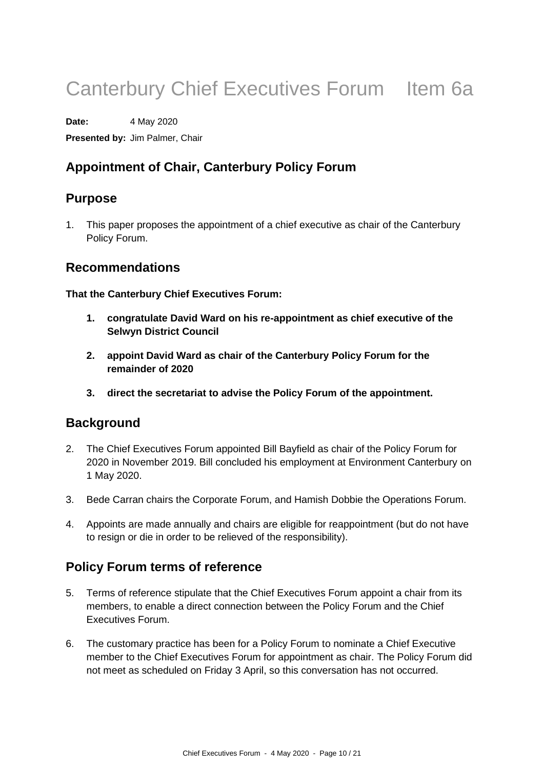# Canterbury Chief Executives Forum Item 6a

**Date:** 4 May 2020

**Presented by:** Jim Palmer, Chair

# **Appointment of Chair, Canterbury Policy Forum**

# **Purpose**

1. This paper proposes the appointment of a chief executive as chair of the Canterbury Policy Forum.

# **Recommendations**

**That the Canterbury Chief Executives Forum:** 

- **1. congratulate David Ward on his re-appointment as chief executive of the Selwyn District Council**
- **2. appoint David Ward as chair of the Canterbury Policy Forum for the remainder of 2020**
- **3. direct the secretariat to advise the Policy Forum of the appointment.**

# **Background**

- 2. The Chief Executives Forum appointed Bill Bayfield as chair of the Policy Forum for 2020 in November 2019. Bill concluded his employment at Environment Canterbury on 1 May 2020.
- 3. Bede Carran chairs the Corporate Forum, and Hamish Dobbie the Operations Forum.
- 4. Appoints are made annually and chairs are eligible for reappointment (but do not have to resign or die in order to be relieved of the responsibility).

# **Policy Forum terms of reference**

- 5. Terms of reference stipulate that the Chief Executives Forum appoint a chair from its members, to enable a direct connection between the Policy Forum and the Chief Executives Forum.
- 6. The customary practice has been for a Policy Forum to nominate a Chief Executive member to the Chief Executives Forum for appointment as chair. The Policy Forum did not meet as scheduled on Friday 3 April, so this conversation has not occurred.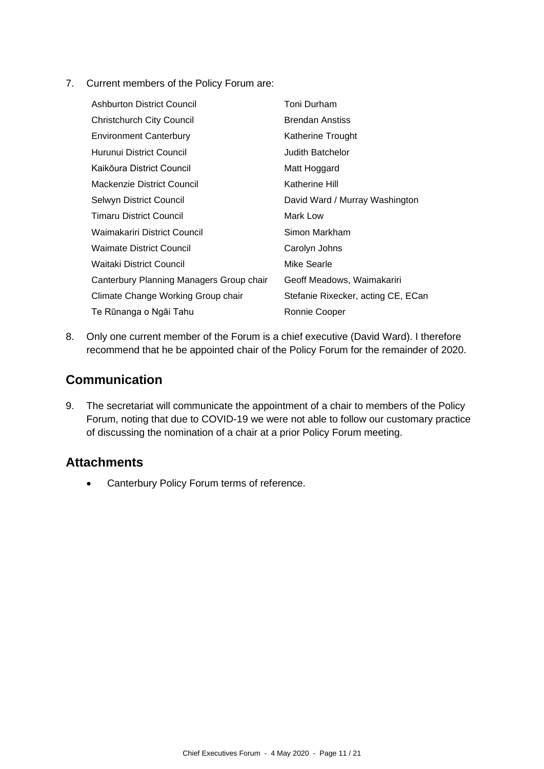7. Current members of the Policy Forum are:

| <b>Ashburton District Council</b>        | Toni Durham                        |
|------------------------------------------|------------------------------------|
| <b>Christchurch City Council</b>         | <b>Brendan Anstiss</b>             |
| <b>Environment Canterbury</b>            | Katherine Trought                  |
| Hurunui District Council                 | <b>Judith Batchelor</b>            |
| Kaikōura District Council                | Matt Hoggard                       |
| Mackenzie District Council               | Katherine Hill                     |
| Selwyn District Council                  | David Ward / Murray Washington     |
| <b>Timaru District Council</b>           | Mark Low                           |
| Waimakariri District Council             | Simon Markham                      |
| <b>Waimate District Council</b>          | Carolyn Johns                      |
| Waitaki District Council                 | Mike Searle                        |
| Canterbury Planning Managers Group chair | Geoff Meadows, Waimakariri         |
| Climate Change Working Group chair       | Stefanie Rixecker, acting CE, ECan |
| Te Rūnanga o Ngāi Tahu                   | Ronnie Cooper                      |

8. Only one current member of the Forum is a chief executive (David Ward). I therefore recommend that he be appointed chair of the Policy Forum for the remainder of 2020.

# **Communication**

9. The secretariat will communicate the appointment of a chair to members of the Policy Forum, noting that due to COVID-19 we were not able to follow our customary practice of discussing the nomination of a chair at a prior Policy Forum meeting.

# **Attachments**

• Canterbury Policy Forum terms of reference.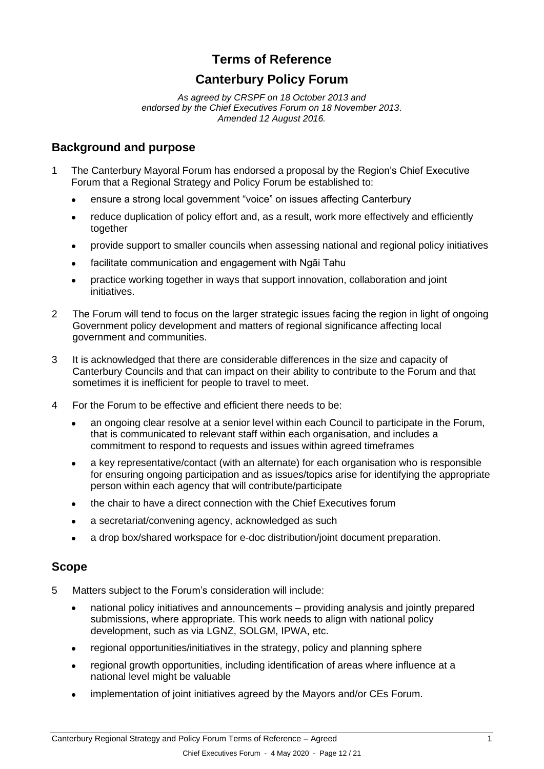# **Terms of Reference**

# **Canterbury Policy Forum**

*As agreed by CRSPF on 18 October 2013 and endorsed by the Chief Executives Forum on 18 November 2013. Amended 12 August 2016.*

#### **Background and purpose**

- 1 The Canterbury Mayoral Forum has endorsed a proposal by the Region's Chief Executive Forum that a Regional Strategy and Policy Forum be established to:
	- ensure a strong local government "voice" on issues affecting Canterbury
	- reduce duplication of policy effort and, as a result, work more effectively and efficiently together
	- provide support to smaller councils when assessing national and regional policy initiatives
	- facilitate communication and engagement with Ngāi Tahu
	- practice working together in ways that support innovation, collaboration and joint initiatives.
- 2 The Forum will tend to focus on the larger strategic issues facing the region in light of ongoing Government policy development and matters of regional significance affecting local government and communities.
- 3 It is acknowledged that there are considerable differences in the size and capacity of Canterbury Councils and that can impact on their ability to contribute to the Forum and that sometimes it is inefficient for people to travel to meet.
- 4 For the Forum to be effective and efficient there needs to be:
	- an ongoing clear resolve at a senior level within each Council to participate in the Forum, that is communicated to relevant staff within each organisation, and includes a commitment to respond to requests and issues within agreed timeframes
	- a key representative/contact (with an alternate) for each organisation who is responsible for ensuring ongoing participation and as issues/topics arise for identifying the appropriate person within each agency that will contribute/participate
	- the chair to have a direct connection with the Chief Executives forum
	- a secretariat/convening agency, acknowledged as such
	- a drop box/shared workspace for e-doc distribution/joint document preparation.

#### **Scope**

- 5 Matters subject to the Forum's consideration will include:
	- national policy initiatives and announcements providing analysis and jointly prepared submissions, where appropriate. This work needs to align with national policy development, such as via LGNZ, SOLGM, IPWA, etc.
	- regional opportunities/initiatives in the strategy, policy and planning sphere
	- regional growth opportunities, including identification of areas where influence at a national level might be valuable
	- implementation of joint initiatives agreed by the Mayors and/or CEs Forum.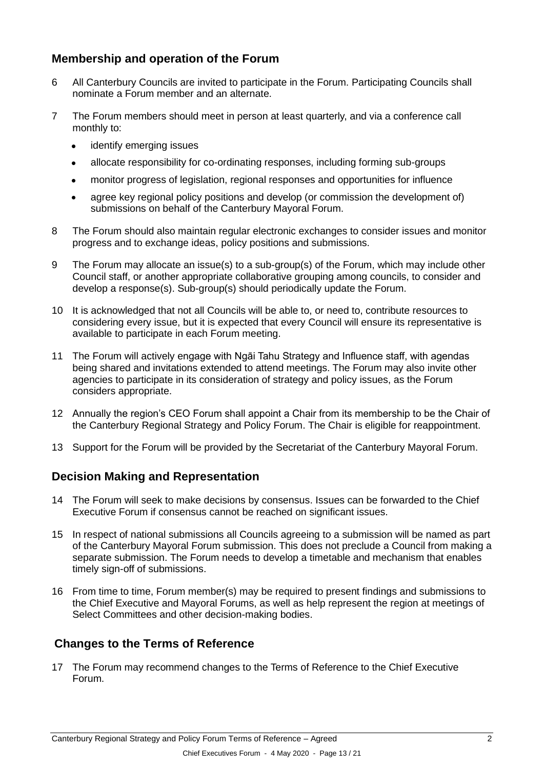# **Membership and operation of the Forum**

- 6 All Canterbury Councils are invited to participate in the Forum. Participating Councils shall nominate a Forum member and an alternate.
- 7 The Forum members should meet in person at least quarterly, and via a conference call monthly to:
	- identify emerging issues
	- allocate responsibility for co-ordinating responses, including forming sub-groups
	- monitor progress of legislation, regional responses and opportunities for influence
	- agree key regional policy positions and develop (or commission the development of) submissions on behalf of the Canterbury Mayoral Forum.
- 8 The Forum should also maintain regular electronic exchanges to consider issues and monitor progress and to exchange ideas, policy positions and submissions.
- 9 The Forum may allocate an issue(s) to a sub-group(s) of the Forum, which may include other Council staff, or another appropriate collaborative grouping among councils, to consider and develop a response(s). Sub-group(s) should periodically update the Forum.
- 10 It is acknowledged that not all Councils will be able to, or need to, contribute resources to considering every issue, but it is expected that every Council will ensure its representative is available to participate in each Forum meeting.
- 11 The Forum will actively engage with Ngāi Tahu Strategy and Influence staff, with agendas being shared and invitations extended to attend meetings. The Forum may also invite other agencies to participate in its consideration of strategy and policy issues, as the Forum considers appropriate.
- 12 Annually the region's CEO Forum shall appoint a Chair from its membership to be the Chair of the Canterbury Regional Strategy and Policy Forum. The Chair is eligible for reappointment.
- 13 Support for the Forum will be provided by the Secretariat of the Canterbury Mayoral Forum.

# **Decision Making and Representation**

- 14 The Forum will seek to make decisions by consensus. Issues can be forwarded to the Chief Executive Forum if consensus cannot be reached on significant issues.
- 15 In respect of national submissions all Councils agreeing to a submission will be named as part of the Canterbury Mayoral Forum submission. This does not preclude a Council from making a separate submission. The Forum needs to develop a timetable and mechanism that enables timely sign-off of submissions.
- 16 From time to time, Forum member(s) may be required to present findings and submissions to the Chief Executive and Mayoral Forums, as well as help represent the region at meetings of Select Committees and other decision-making bodies.

# **Changes to the Terms of Reference**

17 The Forum may recommend changes to the Terms of Reference to the Chief Executive Forum.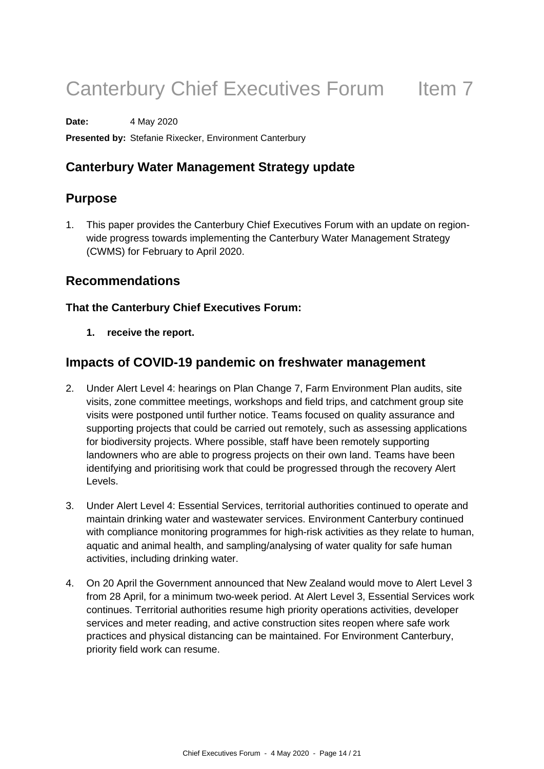# Canterbury Chief Executives Forum Item 7

**Date:** 4 May 2020

**Presented by:** Stefanie Rixecker, Environment Canterbury

# **Canterbury Water Management Strategy update**

# **Purpose**

1. This paper provides the Canterbury Chief Executives Forum with an update on regionwide progress towards implementing the Canterbury Water Management Strategy (CWMS) for February to April 2020.

### **Recommendations**

#### **That the Canterbury Chief Executives Forum:**

**1. receive the report.**

# **Impacts of COVID-19 pandemic on freshwater management**

- 2. Under Alert Level 4: hearings on Plan Change 7, Farm Environment Plan audits, site visits, zone committee meetings, workshops and field trips, and catchment group site visits were postponed until further notice. Teams focused on quality assurance and supporting projects that could be carried out remotely, such as assessing applications for biodiversity projects. Where possible, staff have been remotely supporting landowners who are able to progress projects on their own land. Teams have been identifying and prioritising work that could be progressed through the recovery Alert Levels.
- 3. Under Alert Level 4: Essential Services, territorial authorities continued to operate and maintain drinking water and wastewater services. Environment Canterbury continued with compliance monitoring programmes for high-risk activities as they relate to human, aquatic and animal health, and sampling/analysing of water quality for safe human activities, including drinking water.
- 4. On 20 April the Government announced that New Zealand would move to Alert Level 3 from 28 April, for a minimum two-week period. At Alert Level 3, Essential Services work continues. Territorial authorities resume high priority operations activities, developer services and meter reading, and active construction sites reopen where safe work practices and physical distancing can be maintained. For Environment Canterbury, priority field work can resume.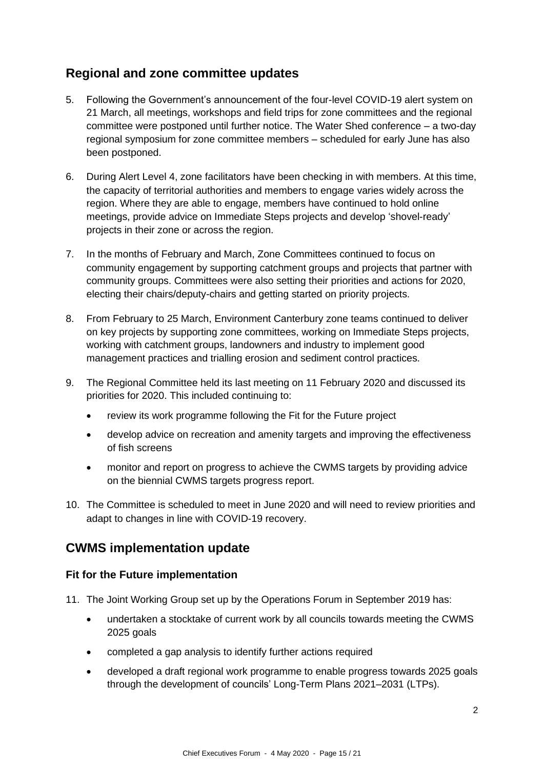# **Regional and zone committee updates**

- 5. Following the Government's announcement of the four-level COVID-19 alert system on 21 March, all meetings, workshops and field trips for zone committees and the regional committee were postponed until further notice. The Water Shed conference – a two-day regional symposium for zone committee members – scheduled for early June has also been postponed.
- 6. During Alert Level 4, zone facilitators have been checking in with members. At this time, the capacity of territorial authorities and members to engage varies widely across the region. Where they are able to engage, members have continued to hold online meetings, provide advice on Immediate Steps projects and develop 'shovel-ready' projects in their zone or across the region.
- 7. In the months of February and March, Zone Committees continued to focus on community engagement by supporting catchment groups and projects that partner with community groups. Committees were also setting their priorities and actions for 2020, electing their chairs/deputy-chairs and getting started on priority projects.
- 8. From February to 25 March, Environment Canterbury zone teams continued to deliver on key projects by supporting zone committees, working on Immediate Steps projects, working with catchment groups, landowners and industry to implement good management practices and trialling erosion and sediment control practices.
- 9. The Regional Committee held its last meeting on 11 February 2020 and discussed its priorities for 2020. This included continuing to:
	- review its work programme following the Fit for the Future project
	- develop advice on recreation and amenity targets and improving the effectiveness of fish screens
	- monitor and report on progress to achieve the CWMS targets by providing advice on the biennial CWMS targets progress report.
- 10. The Committee is scheduled to meet in June 2020 and will need to review priorities and adapt to changes in line with COVID-19 recovery.

# **CWMS implementation update**

#### **Fit for the Future implementation**

- 11. The Joint Working Group set up by the Operations Forum in September 2019 has:
	- undertaken a stocktake of current work by all councils towards meeting the CWMS 2025 goals
	- completed a gap analysis to identify further actions required
	- developed a draft regional work programme to enable progress towards 2025 goals through the development of councils' Long-Term Plans 2021–2031 (LTPs).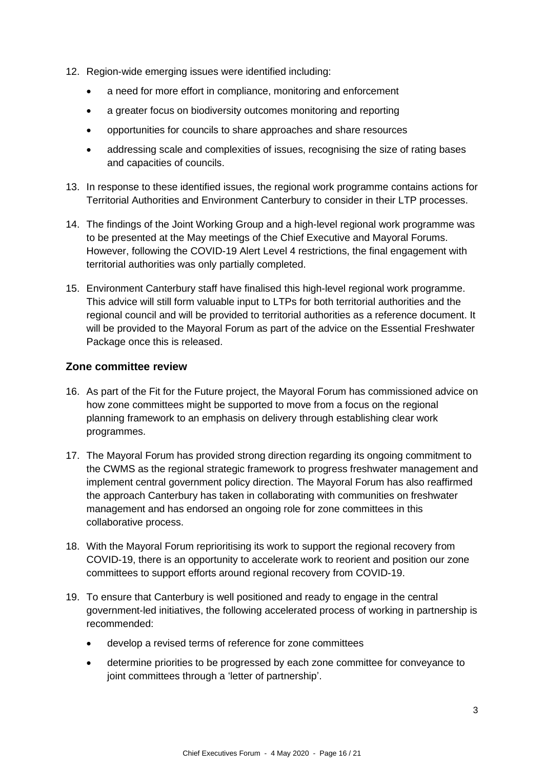- 12. Region-wide emerging issues were identified including:
	- a need for more effort in compliance, monitoring and enforcement
	- a greater focus on biodiversity outcomes monitoring and reporting
	- opportunities for councils to share approaches and share resources
	- addressing scale and complexities of issues, recognising the size of rating bases and capacities of councils.
- 13. In response to these identified issues, the regional work programme contains actions for Territorial Authorities and Environment Canterbury to consider in their LTP processes.
- 14. The findings of the Joint Working Group and a high-level regional work programme was to be presented at the May meetings of the Chief Executive and Mayoral Forums. However, following the COVID-19 Alert Level 4 restrictions, the final engagement with territorial authorities was only partially completed.
- 15. Environment Canterbury staff have finalised this high-level regional work programme. This advice will still form valuable input to LTPs for both territorial authorities and the regional council and will be provided to territorial authorities as a reference document. It will be provided to the Mayoral Forum as part of the advice on the Essential Freshwater Package once this is released.

#### **Zone committee review**

- 16. As part of the Fit for the Future project, the Mayoral Forum has commissioned advice on how zone committees might be supported to move from a focus on the regional planning framework to an emphasis on delivery through establishing clear work programmes.
- 17. The Mayoral Forum has provided strong direction regarding its ongoing commitment to the CWMS as the regional strategic framework to progress freshwater management and implement central government policy direction. The Mayoral Forum has also reaffirmed the approach Canterbury has taken in collaborating with communities on freshwater management and has endorsed an ongoing role for zone committees in this collaborative process.
- 18. With the Mayoral Forum reprioritising its work to support the regional recovery from COVID-19, there is an opportunity to accelerate work to reorient and position our zone committees to support efforts around regional recovery from COVID-19.
- 19. To ensure that Canterbury is well positioned and ready to engage in the central government-led initiatives, the following accelerated process of working in partnership is recommended:
	- develop a revised terms of reference for zone committees
	- determine priorities to be progressed by each zone committee for conveyance to joint committees through a 'letter of partnership'.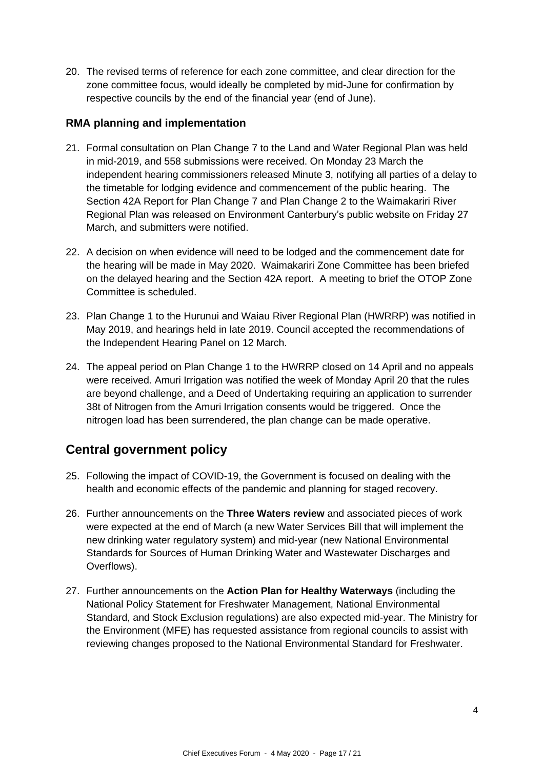20. The revised terms of reference for each zone committee, and clear direction for the zone committee focus, would ideally be completed by mid-June for confirmation by respective councils by the end of the financial year (end of June).

#### **RMA planning and implementation**

- 21. Formal consultation on Plan Change 7 to the Land and Water Regional Plan was held in mid-2019, and 558 submissions were received. On Monday 23 March the independent hearing commissioners released Minute 3, notifying all parties of a delay to the timetable for lodging evidence and commencement of the public hearing. The Section 42A Report for Plan Change 7 and Plan Change 2 to the Waimakariri River Regional Plan was released on Environment Canterbury's public website on Friday 27 March, and submitters were notified.
- 22. A decision on when evidence will need to be lodged and the commencement date for the hearing will be made in May 2020. Waimakariri Zone Committee has been briefed on the delayed hearing and the Section 42A report. A meeting to brief the OTOP Zone Committee is scheduled.
- 23. Plan Change 1 to the Hurunui and Waiau River Regional Plan (HWRRP) was notified in May 2019, and hearings held in late 2019. Council accepted the recommendations of the Independent Hearing Panel on 12 March.
- 24. The appeal period on Plan Change 1 to the HWRRP closed on 14 April and no appeals were received. Amuri Irrigation was notified the week of Monday April 20 that the rules are beyond challenge, and a Deed of Undertaking requiring an application to surrender 38t of Nitrogen from the Amuri Irrigation consents would be triggered. Once the nitrogen load has been surrendered, the plan change can be made operative.

# **Central government policy**

- 25. Following the impact of COVID-19, the Government is focused on dealing with the health and economic effects of the pandemic and planning for staged recovery.
- 26. Further announcements on the **Three Waters review** and associated pieces of work were expected at the end of March (a new Water Services Bill that will implement the new drinking water regulatory system) and mid-year (new National Environmental Standards for Sources of Human Drinking Water and Wastewater Discharges and Overflows).
- 27. Further announcements on the **Action Plan for Healthy Waterways** (including the National Policy Statement for Freshwater Management, National Environmental Standard, and Stock Exclusion regulations) are also expected mid-year. The Ministry for the Environment (MFE) has requested assistance from regional councils to assist with reviewing changes proposed to the National Environmental Standard for Freshwater.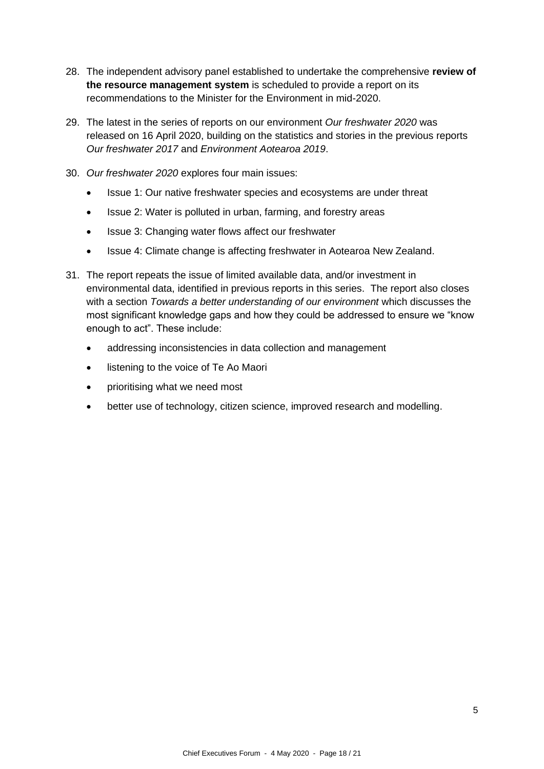- 28. The independent advisory panel established to undertake the comprehensive **review of the resource management system** is scheduled to provide a report on its recommendations to the Minister for the Environment in mid-2020.
- 29. The latest in the series of reports on our environment *Our freshwater 2020* was released on 16 April 2020, building on the statistics and stories in the previous reports *Our freshwater 2017* and *Environment Aotearoa 2019*.
- 30. *Our freshwater 2020* explores four main issues:
	- Issue 1: Our native freshwater species and ecosystems are under threat
	- Issue 2: Water is polluted in urban, farming, and forestry areas
	- Issue 3: Changing water flows affect our freshwater
	- Issue 4: Climate change is affecting freshwater in Aotearoa New Zealand.
- 31. The report repeats the issue of limited available data, and/or investment in environmental data, identified in previous reports in this series. The report also closes with a section *Towards a better understanding of our environment* which discusses the most significant knowledge gaps and how they could be addressed to ensure we "know enough to act". These include:
	- addressing inconsistencies in data collection and management
	- listening to the voice of Te Ao Maori
	- prioritising what we need most
	- better use of technology, citizen science, improved research and modelling.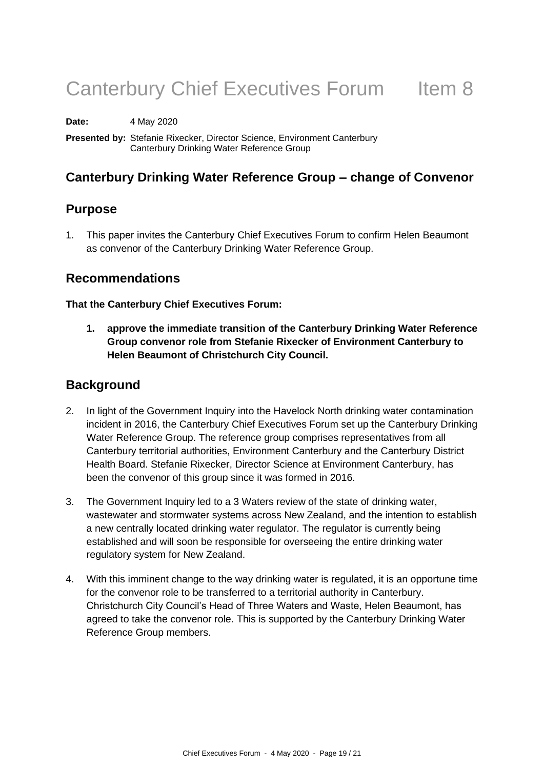# Canterbury Chief Executives Forum Item 8

**Date:** 4 May 2020

**Presented by:** Stefanie Rixecker, Director Science, Environment Canterbury Canterbury Drinking Water Reference Group

# **Canterbury Drinking Water Reference Group – change of Convenor**

### **Purpose**

1. This paper invites the Canterbury Chief Executives Forum to confirm Helen Beaumont as convenor of the Canterbury Drinking Water Reference Group.

### **Recommendations**

#### **That the Canterbury Chief Executives Forum:**

**1. approve the immediate transition of the Canterbury Drinking Water Reference Group convenor role from Stefanie Rixecker of Environment Canterbury to Helen Beaumont of Christchurch City Council.**

#### **Background**

- 2. In light of the Government Inquiry into the Havelock North drinking water contamination incident in 2016, the Canterbury Chief Executives Forum set up the Canterbury Drinking Water Reference Group. The reference group comprises representatives from all Canterbury territorial authorities, Environment Canterbury and the Canterbury District Health Board. Stefanie Rixecker, Director Science at Environment Canterbury, has been the convenor of this group since it was formed in 2016.
- 3. The Government Inquiry led to a 3 Waters review of the state of drinking water, wastewater and stormwater systems across New Zealand, and the intention to establish a new centrally located drinking water regulator. The regulator is currently being established and will soon be responsible for overseeing the entire drinking water regulatory system for New Zealand.
- 4. With this imminent change to the way drinking water is regulated, it is an opportune time for the convenor role to be transferred to a territorial authority in Canterbury. Christchurch City Council's Head of Three Waters and Waste, Helen Beaumont, has agreed to take the convenor role. This is supported by the Canterbury Drinking Water Reference Group members.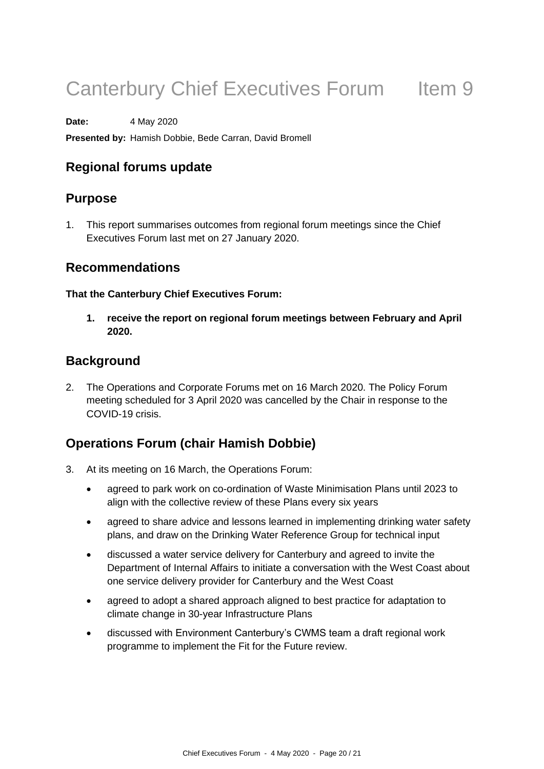# Canterbury Chief Executives Forum Item 9

**Date:** 4 May 2020

**Presented by:** Hamish Dobbie, Bede Carran, David Bromell

# **Regional forums update**

# **Purpose**

1. This report summarises outcomes from regional forum meetings since the Chief Executives Forum last met on 27 January 2020.

# **Recommendations**

#### **That the Canterbury Chief Executives Forum:**

**1. receive the report on regional forum meetings between February and April 2020.**

# **Background**

2. The Operations and Corporate Forums met on 16 March 2020. The Policy Forum meeting scheduled for 3 April 2020 was cancelled by the Chair in response to the COVID-19 crisis.

# **Operations Forum (chair Hamish Dobbie)**

- 3. At its meeting on 16 March, the Operations Forum:
	- agreed to park work on co-ordination of Waste Minimisation Plans until 2023 to align with the collective review of these Plans every six years
	- agreed to share advice and lessons learned in implementing drinking water safety plans, and draw on the Drinking Water Reference Group for technical input
	- discussed a water service delivery for Canterbury and agreed to invite the Department of Internal Affairs to initiate a conversation with the West Coast about one service delivery provider for Canterbury and the West Coast
	- agreed to adopt a shared approach aligned to best practice for adaptation to climate change in 30-year Infrastructure Plans
	- discussed with Environment Canterbury's CWMS team a draft regional work programme to implement the Fit for the Future review.